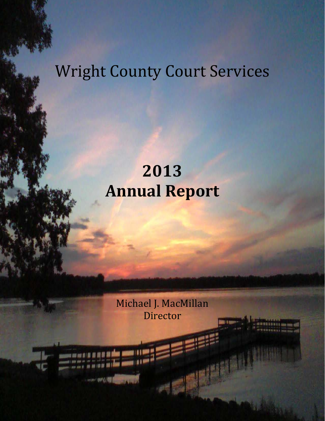# Wright County Court Services

# **2013 Annual Report**

Michael J. MacMillan Director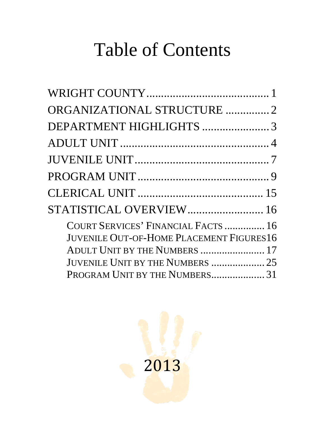# Table of Contents

| ORGANIZATIONAL STRUCTURE 2                                                             |  |
|----------------------------------------------------------------------------------------|--|
| DEPARTMENT HIGHLIGHTS 3                                                                |  |
|                                                                                        |  |
|                                                                                        |  |
|                                                                                        |  |
|                                                                                        |  |
| STATISTICAL OVERVIEW 16                                                                |  |
| COURT SERVICES' FINANCIAL FACTS  16<br><b>JUVENILE OUT-OF-HOME PLACEMENT FIGURES16</b> |  |
| ADULT UNIT BY THE NUMBERS  17                                                          |  |
| JUVENILE UNIT BY THE NUMBERS  25                                                       |  |
| PROGRAM UNIT BY THE NUMBERS 31                                                         |  |

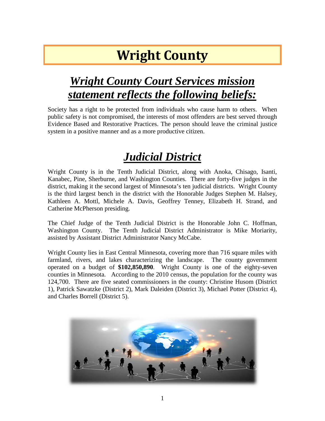## **Wright County**

#### <span id="page-2-0"></span>*Wright County Court Services mission statement reflects the following beliefs:*

Society has a right to be protected from individuals who cause harm to others. When public safety is not compromised, the interests of most offenders are best served through Evidence Based and Restorative Practices. The person should leave the criminal justice system in a positive manner and as a more productive citizen.

### *Judicial District*

Wright County is in the Tenth Judicial District, along with Anoka, Chisago, Isanti, Kanabec, Pine, Sherburne, and Washington Counties. There are forty-five judges in the district, making it the second largest of Minnesota's ten judicial districts. Wright County is the third largest bench in the district with the Honorable Judges Stephen M. Halsey, Kathleen A. Mottl, Michele A. Davis, Geoffrey Tenney, Elizabeth H. Strand, and Catherine McPherson presiding.

The Chief Judge of the Tenth Judicial District is the Honorable John C. Hoffman, Washington County. The Tenth Judicial District Administrator is Mike Moriarity, assisted by Assistant District Administrator Nancy McCabe.

Wright County lies in East Central Minnesota, covering more than 716 square miles with farmland, rivers, and lakes characterizing the landscape. The county government operated on a budget of **\$102,850,890**. Wright County is one of the eighty-seven counties in Minnesota. According to the 2010 census, the population for the county was 124,700. There are five seated commissioners in the county: Christine Husom (District 1), Patrick Sawatzke (District 2), Mark Daleiden (District 3), Michael Potter (District 4), and Charles Borrell (District 5).

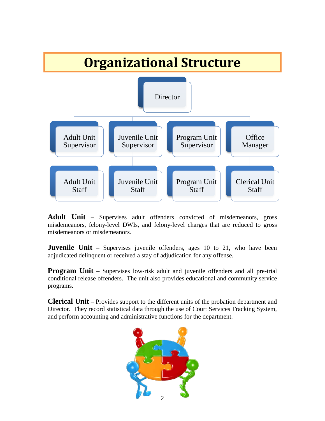<span id="page-3-0"></span>

Adult Unit – Supervises adult offenders convicted of misdemeanors, gross misdemeanors, felony-level DWIs, and felony-level charges that are reduced to gross misdemeanors or misdemeanors.

**Juvenile Unit** – Supervises juvenile offenders, ages 10 to 21, who have been adjudicated delinquent or received a stay of adjudication for any offense.

**Program Unit** – Supervises low-risk adult and juvenile offenders and all pre-trial conditional release offenders. The unit also provides educational and community service programs.

**Clerical Unit** – Provides support to the different units of the probation department and Director. They record statistical data through the use of Court Services Tracking System, and perform accounting and administrative functions for the department.

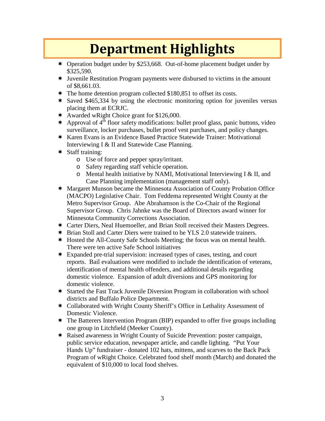### **Department Highlights**

- <span id="page-4-0"></span> Operation budget under by \$253,668. Out-of-home placement budget under by \$325,590.
- Juvenile Restitution Program payments were disbursed to victims in the amount of \$8,661.03.
- \* The home detention program collected \$180,851 to offset its costs.
- Saved \$465,334 by using the electronic monitoring option for juveniles versus placing them at ECRJC.
- Awarded wRight Choice grant for \$126,000.
- $\star$  Approval of 4<sup>th</sup> floor safety modifications: bullet proof glass, panic buttons, video surveillance, locker purchases, bullet proof vest purchases, and policy changes.
- Karen Evans is an Evidence Based Practice Statewide Trainer: Motivational Interviewing I & II and Statewide Case Planning.
- Staff training:
	- o Use of force and pepper spray/irritant.
	- o Safety regarding staff vehicle operation.
	- $\circ$  Mental health initiative by NAMI, Motivational Interviewing I & II, and Case Planning implementation (management staff only).
- Margaret Munson became the Minnesota Association of County Probation Office (MACPO) Legislative Chair. Tom Feddema represented Wright County at the Metro Supervisor Group. Abe Abrahamson is the Co-Chair of the Regional Supervisor Group. Chris Jahnke was the Board of Directors award winner for Minnesota Community Corrections Association.
- Carter Diers, Neal Huemoeller, and Brian Stoll received their Masters Degrees.
- Brian Stoll and Carter Diers were trained to be YLS 2.0 statewide trainers.
- Hosted the All-County Safe Schools Meeting; the focus was on mental health. There were ten active Safe School initiatives
- Expanded pre-trial supervision: increased types of cases, testing, and court reports. Bail evaluations were modified to include the identification of veterans, identification of mental health offenders, and additional details regarding domestic violence. Expansion of adult diversions and GPS monitoring for domestic violence.
- Started the Fast Track Juvenile Diversion Program in collaboration with school districts and Buffalo Police Department.
- \* Collaborated with Wright County Sheriff's Office in Lethality Assessment of Domestic Violence.
- The Batterers Intervention Program (BIP) expanded to offer five groups including one group in Litchfield (Meeker County).
- Raised awareness in Wright County of Suicide Prevention: poster campaign, public service education, newspaper article, and candle lighting. "Put Your Hands Up" fundraiser - donated 102 hats, mittens, and scarves to the Back Pack Program of wRight Choice. Celebrated food shelf month (March) and donated the equivalent of \$10,000 to local food shelves.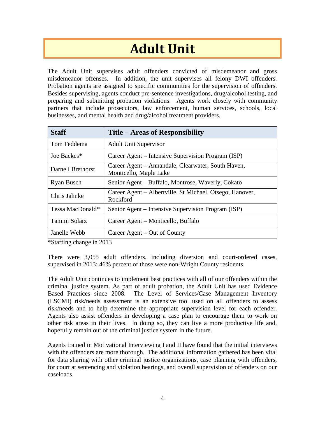## **Adult Unit**

<span id="page-5-0"></span>The Adult Unit supervises adult offenders convicted of misdemeanor and gross misdemeanor offenses. In addition, the unit supervises all felony DWI offenders. Probation agents are assigned to specific communities for the supervision of offenders. Besides supervising, agents conduct pre-sentence investigations, drug/alcohol testing, and preparing and submitting probation violations. Agents work closely with community partners that include prosecutors, law enforcement, human services, schools, local businesses, and mental health and drug/alcohol treatment providers.

| <b>Staff</b>      | Title – Areas of Responsibility                                              |
|-------------------|------------------------------------------------------------------------------|
| Tom Feddema       | <b>Adult Unit Supervisor</b>                                                 |
| Joe Backes*       | Career Agent – Intensive Supervision Program (ISP)                           |
| Darnell Brethorst | Career Agent – Annandale, Clearwater, South Haven,<br>Monticello, Maple Lake |
| Ryan Busch        | Senior Agent – Buffalo, Montrose, Waverly, Cokato                            |
| Chris Jahnke      | Career Agent – Albertville, St Michael, Otsego, Hanover,<br>Rockford         |
| Tessa MacDonald*  | Senior Agent – Intensive Supervision Program (ISP)                           |
| Tammi Solarz      | Career Agent – Monticello, Buffalo                                           |
| Janelle Webb      | Career Agent – Out of County                                                 |

\*Staffing change in 2013

There were 3,055 adult offenders, including diversion and court-ordered cases, supervised in 2013; 46% percent of those were non-Wright County residents.

The Adult Unit continues to implement best practices with all of our offenders within the criminal justice system. As part of adult probation, the Adult Unit has used Evidence Based Practices since 2008. The Level of Services/Case Management Inventory (LSCMI) risk/needs assessment is an extensive tool used on all offenders to assess risk/needs and to help determine the appropriate supervision level for each offender. Agents also assist offenders in developing a case plan to encourage them to work on other risk areas in their lives. In doing so, they can live a more productive life and, hopefully remain out of the criminal justice system in the future.

Agents trained in Motivational Interviewing I and II have found that the initial interviews with the offenders are more thorough. The additional information gathered has been vital for data sharing with other criminal justice organizations, case planning with offenders, for court at sentencing and violation hearings, and overall supervision of offenders on our caseloads.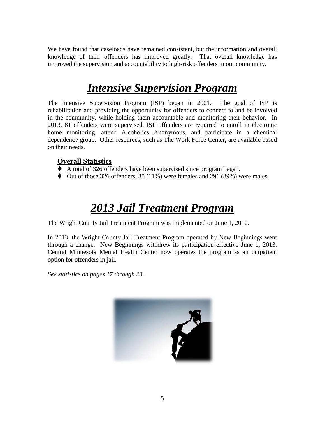We have found that caseloads have remained consistent, but the information and overall knowledge of their offenders has improved greatly. That overall knowledge has improved the supervision and accountability to high-risk offenders in our community.

#### *Intensive Supervision Program*

The Intensive Supervision Program (ISP) began in 2001. The goal of ISP is rehabilitation and providing the opportunity for offenders to connect to and be involved in the community, while holding them accountable and monitoring their behavior. In 2013, 81 offenders were supervised. ISP offenders are required to enroll in electronic home monitoring, attend Alcoholics Anonymous, and participate in a chemical dependency group. Other resources, such as The Work Force Center, are available based on their needs.

#### **Overall Statistics**

- A total of 326 offenders have been supervised since program began.
- $\blacklozenge$  Out of those 326 offenders, 35 (11%) were females and 291 (89%) were males.

#### *2013 Jail Treatment Program*

The Wright County Jail Treatment Program was implemented on June 1, 2010.

In 2013, the Wright County Jail Treatment Program operated by New Beginnings went through a change. New Beginnings withdrew its participation effective June 1, 2013. Central Minnesota Mental Health Center now operates the program as an outpatient option for offenders in jail.

*See statistics on pages 17 through 23.*

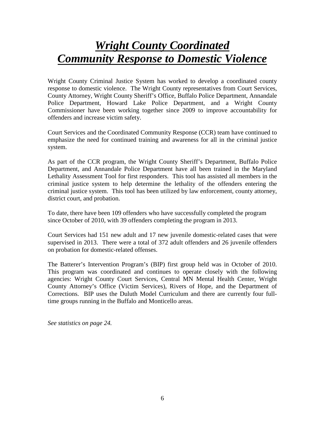#### *Wright County Coordinated Community Response to Domestic Violence*

Wright County Criminal Justice System has worked to develop a coordinated county response to domestic violence. The Wright County representatives from Court Services, County Attorney, Wright County Sheriff's Office, Buffalo Police Department, Annandale Police Department, Howard Lake Police Department, and a Wright County Commissioner have been working together since 2009 to improve accountability for offenders and increase victim safety.

Court Services and the Coordinated Community Response (CCR) team have continued to emphasize the need for continued training and awareness for all in the criminal justice system.

As part of the CCR program, the Wright County Sheriff's Department, Buffalo Police Department, and Annandale Police Department have all been trained in the Maryland Lethality Assessment Tool for first responders. This tool has assisted all members in the criminal justice system to help determine the lethality of the offenders entering the criminal justice system. This tool has been utilized by law enforcement, county attorney, district court, and probation.

To date, there have been 109 offenders who have successfully completed the program since October of 2010, with 39 offenders completing the program in 2013.

Court Services had 151 new adult and 17 new juvenile domestic-related cases that were supervised in 2013. There were a total of 372 adult offenders and 26 juvenile offenders on probation for domestic-related offenses.

The Batterer's Intervention Program's (BIP) first group held was in October of 2010. This program was coordinated and continues to operate closely with the following agencies: Wright County Court Services, Central MN Mental Health Center, Wright County Attorney's Office (Victim Services), Rivers of Hope, and the Department of Corrections. BIP uses the Duluth Model Curriculum and there are currently four fulltime groups running in the Buffalo and Monticello areas.

*See statistics on page 24.*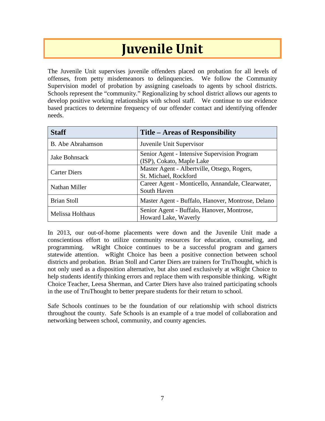### **Juvenile Unit**

<span id="page-8-0"></span>The Juvenile Unit supervises juvenile offenders placed on probation for all levels of offenses, from petty misdemeanors to delinquencies. We follow the Community Supervision model of probation by assigning caseloads to agents by school districts. Schools represent the "community." Regionalizing by school district allows our agents to develop positive working relationships with school staff. We continue to use evidence based practices to determine frequency of our offender contact and identifying offender needs.

| <b>Staff</b>        | Title – Areas of Responsibility                                           |
|---------------------|---------------------------------------------------------------------------|
| B. Abe Abrahamson   | Juvenile Unit Supervisor                                                  |
| Jake Bohnsack       | Senior Agent - Intensive Supervision Program<br>(ISP), Cokato, Maple Lake |
| <b>Carter Diers</b> | Master Agent - Albertville, Otsego, Rogers,<br>St. Michael, Rockford      |
| Nathan Miller       | Career Agent - Monticello, Annandale, Clearwater,<br>South Haven          |
| <b>Brian Stoll</b>  | Master Agent - Buffalo, Hanover, Montrose, Delano                         |
| Melissa Holthaus    | Senior Agent - Buffalo, Hanover, Montrose,<br>Howard Lake, Waverly        |

In 2013, our out-of-home placements were down and the Juvenile Unit made a conscientious effort to utilize community resources for education, counseling, and programming. wRight Choice continues to be a successful program and garners statewide attention. wRight Choice has been a positive connection between school districts and probation. Brian Stoll and Carter Diers are trainers for TruThought, which is not only used as a disposition alternative, but also used exclusively at wRight Choice to help students identify thinking errors and replace them with responsible thinking. wRight Choice Teacher, Leesa Sherman, and Carter Diers have also trained participating schools in the use of TruThought to better prepare students for their return to school.

Safe Schools continues to be the foundation of our relationship with school districts throughout the county. Safe Schools is an example of a true model of collaboration and networking between school, community, and county agencies.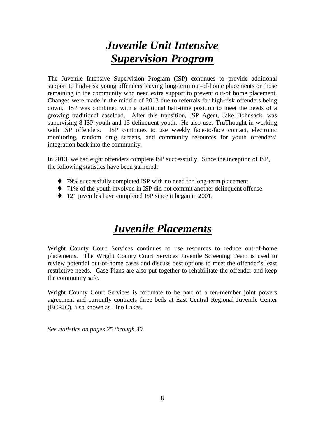#### *Juvenile Unit Intensive Supervision Program*

The Juvenile Intensive Supervision Program (ISP) continues to provide additional support to high-risk young offenders leaving long-term out-of-home placements or those remaining in the community who need extra support to prevent out-of home placement. Changes were made in the middle of 2013 due to referrals for high-risk offenders being down. ISP was combined with a traditional half-time position to meet the needs of a growing traditional caseload. After this transition, ISP Agent, Jake Bohnsack, was supervising 8 ISP youth and 15 delinquent youth. He also uses TruThought in working with ISP offenders. ISP continues to use weekly face-to-face contact, electronic monitoring, random drug screens, and community resources for youth offenders' integration back into the community.

In 2013, we had eight offenders complete ISP successfully. Since the inception of ISP, the following statistics have been garnered:

- ◆ 79% successfully completed ISP with no need for long-term placement.
- 71% of the youth involved in ISP did not commit another delinquent offense.
- ◆ 121 juveniles have completed ISP since it began in 2001.

### *Juvenile Placements*

Wright County Court Services continues to use resources to reduce out-of-home placements. The Wright County Court Services Juvenile Screening Team is used to review potential out-of-home cases and discuss best options to meet the offender's least restrictive needs. Case Plans are also put together to rehabilitate the offender and keep the community safe.

Wright County Court Services is fortunate to be part of a ten-member joint powers agreement and currently contracts three beds at East Central Regional Juvenile Center (ECRJC), also known as Lino Lakes.

*See statistics on pages 25 through 30.*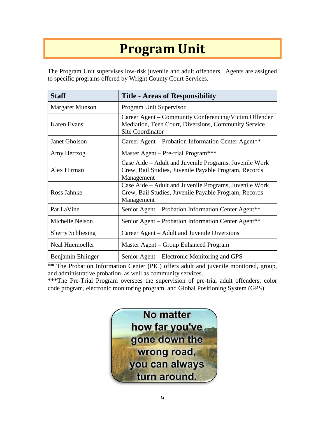## **Program Unit**

<span id="page-10-0"></span>The Program Unit supervises low-risk juvenile and adult offenders. Agents are assigned to specific programs offered by Wright County Court Services.

| <b>Staff</b>             | <b>Title - Areas of Responsibility</b>                                                                                                   |  |
|--------------------------|------------------------------------------------------------------------------------------------------------------------------------------|--|
| <b>Margaret Munson</b>   | Program Unit Supervisor                                                                                                                  |  |
| <b>Karen Evans</b>       | Career Agent – Community Conferencing/Victim Offender<br>Mediation, Teen Court, Diversions, Community Service<br><b>Site Coordinator</b> |  |
| <b>Janet Gholson</b>     | Career Agent – Probation Information Center Agent**                                                                                      |  |
| Amy Hertzog              | Master Agent – Pre-trial Program***                                                                                                      |  |
| Alex Hirman              | Case Aide - Adult and Juvenile Programs, Juvenile Work<br>Crew, Bail Studies, Juvenile Payable Program, Records<br>Management            |  |
| Ross Jahnke              | Case Aide – Adult and Juvenile Programs, Juvenile Work<br>Crew, Bail Studies, Juvenile Payable Program, Records<br>Management            |  |
| Pat LaVine               | Senior Agent – Probation Information Center Agent**                                                                                      |  |
| Michelle Nelson          | Senior Agent – Probation Information Center Agent**                                                                                      |  |
| <b>Sherry Schliesing</b> | Career Agent – Adult and Juvenile Diversions                                                                                             |  |
| Neal Huemoeller          | Master Agent – Group Enhanced Program                                                                                                    |  |
| Benjamin Ehlinger        | Senior Agent – Electronic Monitoring and GPS                                                                                             |  |

\*\* The Probation Information Center (PIC) offers adult and juvenile monitored, group, and administrative probation, as well as community services.

\*\*\*The Pre-Trial Program oversees the supervision of pre-trial adult offenders, color code program, electronic monitoring program, and Global Positioning System (GPS).

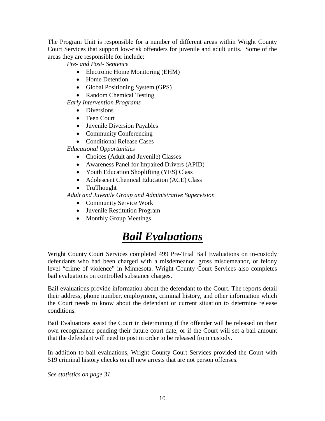The Program Unit is responsible for a number of different areas within Wright County Court Services that support low-risk offenders for juvenile and adult units. Some of the areas they are responsible for include:

*Pre- and Post- Sentence*

- Electronic Home Monitoring (EHM)
- Home Detention
- Global Positioning System (GPS)
- Random Chemical Testing

*Early Intervention Programs*

- Diversions
- Teen Court
- Juvenile Diversion Payables
- Community Conferencing
- Conditional Release Cases

*Educational Opportunities*

- Choices (Adult and Juvenile) Classes
- Awareness Panel for Impaired Drivers (APID)
- Youth Education Shoplifting (YES) Class
- Adolescent Chemical Education (ACE) Class
- TruThought

*Adult and Juvenile Group and Administrative Supervision*

- Community Service Work
- Juvenile Restitution Program
- Monthly Group Meetings

#### *Bail Evaluations*

Wright County Court Services completed 499 Pre-Trial Bail Evaluations on in-custody defendants who had been charged with a misdemeanor, gross misdemeanor, or felony level "crime of violence" in Minnesota. Wright County Court Services also completes bail evaluations on controlled substance charges.

Bail evaluations provide information about the defendant to the Court. The reports detail their address, phone number, employment, criminal history, and other information which the Court needs to know about the defendant or current situation to determine release conditions.

Bail Evaluations assist the Court in determining if the offender will be released on their own recognizance pending their future court date, or if the Court will set a bail amount that the defendant will need to post in order to be released from custody.

In addition to bail evaluations, Wright County Court Services provided the Court with 519 criminal history checks on all new arrests that are not person offenses.

*See statistics on page 31.*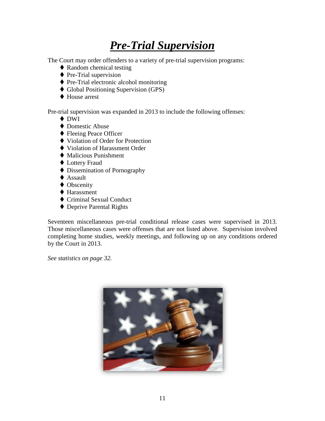#### *Pre-Trial Supervision*

The Court may order offenders to a variety of pre-trial supervision programs:

- ◆ Random chemical testing
- ◆ Pre-Trial supervision
- Pre-Trial electronic alcohol monitoring
- Global Positioning Supervision (GPS)
- ◆ House arrest

Pre-trial supervision was expanded in 2013 to include the following offenses:

- **◆ DWI**
- ◆ Domestic Abuse
- ◆ Fleeing Peace Officer
- ◆ Violation of Order for Protection
- ◆ Violation of Harassment Order
- Malicious Punishment
- ◆ Lottery Fraud
- ◆ Dissemination of Pornography
- ◆ Assault
- ◆ Obscenity
- ◆ Harassment
- ◆ Criminal Sexual Conduct
- ◆ Deprive Parental Rights

Seventeen miscellaneous pre-trial conditional release cases were supervised in 2013. Those miscellaneous cases were offenses that are not listed above. Supervision involved completing home studies, weekly meetings, and following up on any conditions ordered by the Court in 2013.

*See statistics on page 32.*

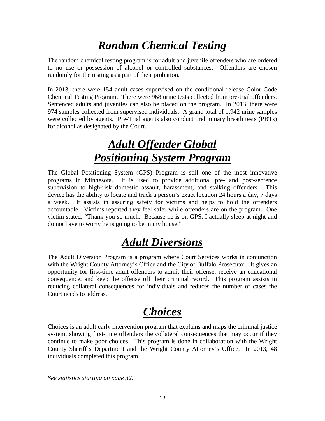#### *Random Chemical Testing*

The random chemical testing program is for adult and juvenile offenders who are ordered to no use or possession of alcohol or controlled substances. Offenders are chosen randomly for the testing as a part of their probation.

In 2013, there were 154 adult cases supervised on the conditional release Color Code Chemical Testing Program. There were 968 urine tests collected from pre-trial offenders. Sentenced adults and juveniles can also be placed on the program. In 2013, there were 974 samples collected from supervised individuals. A grand total of 1,942 urine samples were collected by agents. Pre-Trial agents also conduct preliminary breath tests (PBTs) for alcohol as designated by the Court.

#### *Adult Offender Global Positioning System Program*

The Global Positioning System (GPS) Program is still one of the most innovative programs in Minnesota. It is used to provide additional pre- and post-sentence supervision to high-risk domestic assault, harassment, and stalking offenders. This device has the ability to locate and track a person's exact location 24 hours a day, 7 days a week. It assists in assuring safety for victims and helps to hold the offenders accountable. Victims reported they feel safer while offenders are on the program. One victim stated, "Thank you so much. Because he is on GPS, I actually sleep at night and do not have to worry he is going to be in my house."

#### *Adult Diversions*

The Adult Diversion Program is a program where Court Services works in conjunction with the Wright County Attorney's Office and the City of Buffalo Prosecutor. It gives an opportunity for first-time adult offenders to admit their offense, receive an educational consequence, and keep the offense off their criminal record. This program assists in reducing collateral consequences for individuals and reduces the number of cases the Court needs to address.

#### *Choices*

Choices is an adult early intervention program that explains and maps the criminal justice system, showing first-time offenders the collateral consequences that may occur if they continue to make poor choices. This program is done in collaboration with the Wright County Sheriff's Department and the Wright County Attorney's Office. In 2013, 48 individuals completed this program.

*See statistics starting on page 32.*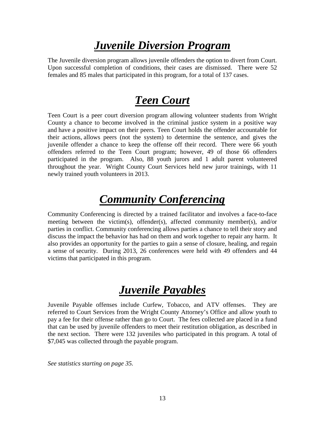#### *Juvenile Diversion Program*

The Juvenile diversion program allows juvenile offenders the option to divert from Court. Upon successful completion of conditions, their cases are dismissed. There were 52 females and 85 males that participated in this program, for a total of 137 cases.

#### *Teen Court*

Teen Court is a peer court diversion program allowing volunteer students from Wright County a chance to become involved in the criminal justice system in a positive way and have a positive impact on their peers. Teen Court holds the offender accountable for their actions, allows peers (not the system) to determine the sentence, and gives the juvenile offender a chance to keep the offense off their record. There were 66 youth offenders referred to the Teen Court program; however, 49 of those 66 offenders participated in the program. Also, 88 youth jurors and 1 adult parent volunteered throughout the year. Wright County Court Services held new juror trainings, with 11 newly trained youth volunteers in 2013.

#### *Community Conferencing*

Community Conferencing is directed by a trained facilitator and involves a face-to-face meeting between the victim(s), offender(s), affected community member(s), and/or parties in conflict. Community conferencing allows parties a chance to tell their story and discuss the impact the behavior has had on them and work together to repair any harm. It also provides an opportunity for the parties to gain a sense of closure, healing, and regain a sense of security. During 2013, 26 conferences were held with 49 offenders and 44 victims that participated in this program.

#### *Juvenile Payables*

Juvenile Payable offenses include Curfew, Tobacco, and ATV offenses. They are referred to Court Services from the Wright County Attorney's Office and allow youth to pay a fee for their offense rather than go to Court. The fees collected are placed in a fund that can be used by juvenile offenders to meet their restitution obligation, as described in the next section. There were 132 juveniles who participated in this program. A total of \$7,045 was collected through the payable program.

*See statistics starting on page 35.*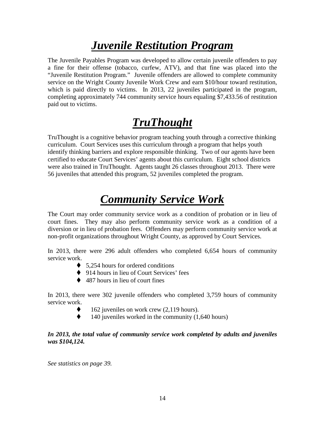#### *Juvenile Restitution Program*

The Juvenile Payables Program was developed to allow certain juvenile offenders to pay a fine for their offense (tobacco, curfew, ATV), and that fine was placed into the "Juvenile Restitution Program." Juvenile offenders are allowed to complete community service on the Wright County Juvenile Work Crew and earn \$10/hour toward restitution, which is paid directly to victims. In 2013, 22 juveniles participated in the program, completing approximately 744 community service hours equaling \$7,433.56 of restitution paid out to victims.

#### *TruThought*

TruThought is a cognitive behavior program teaching youth through a corrective thinking curriculum. Court Services uses this curriculum through a program that helps youth identify thinking barriers and explore responsible thinking. Two of our agents have been certified to educate Court Services' agents about this curriculum. Eight school districts were also trained in TruThought. Agents taught 26 classes throughout 2013. There were 56 juveniles that attended this program, 52 juveniles completed the program.

#### *Community Service Work*

The Court may order community service work as a condition of probation or in lieu of court fines. They may also perform community service work as a condition of a diversion or in lieu of probation fees. Offenders may perform community service work at non-profit organizations throughout Wright County, as approved by Court Services.

In 2013, there were 296 adult offenders who completed 6,654 hours of community service work.

- $\bullet$  5,254 hours for ordered conditions
- ◆ 914 hours in lieu of Court Services' fees
- $\triangle$  487 hours in lieu of court fines

In 2013, there were 302 juvenile offenders who completed 3,759 hours of community service work.

- 162 juveniles on work crew (2,119 hours).
- $\blacklozenge$  140 juveniles worked in the community (1,640 hours)

#### In 2013, the total value of community service work completed by adults and juveniles *was \$104,124.*

*See statistics on page 39.*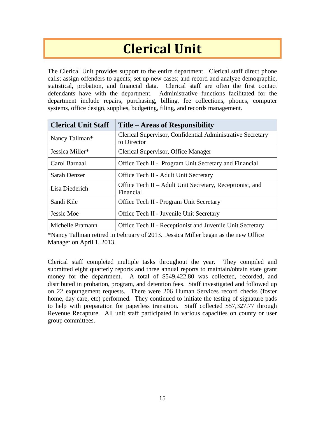## **Clerical Unit**

<span id="page-16-0"></span>The Clerical Unit provides support to the entire department. Clerical staff direct phone calls; assign offenders to agents; set up new cases; and record and analyze demographic, statistical, probation, and financial data. Clerical staff are often the first contact defendants have with the department. Administrative functions facilitated for the department include repairs, purchasing, billing, fee collections, phones, computer systems, office design, supplies, budgeting, filing, and records management.

| <b>Clerical Unit Staff</b> | Title – Areas of Responsibility                                           |
|----------------------------|---------------------------------------------------------------------------|
| Nancy Tallman*             | Clerical Supervisor, Confidential Administrative Secretary<br>to Director |
| Jessica Miller*            | Clerical Supervisor, Office Manager                                       |
| Carol Barnaal              | Office Tech II - Program Unit Secretary and Financial                     |
| Sarah Denzer               | Office Tech II - Adult Unit Secretary                                     |
| Lisa Diederich             | Office Tech II – Adult Unit Secretary, Receptionist, and<br>Financial     |
| Sandi Kile                 | Office Tech II - Program Unit Secretary                                   |
| Jessie Moe                 | Office Tech II - Juvenile Unit Secretary                                  |
| Michelle Pramann           | Office Tech II - Receptionist and Juvenile Unit Secretary                 |

\*Nancy Tallman retired in February of 2013. Jessica Miller began as the new Office Manager on April 1, 2013.

Clerical staff completed multiple tasks throughout the year. They compiled and submitted eight quarterly reports and three annual reports to maintain/obtain state grant money for the department. A total of \$549,422.80 was collected, recorded, and distributed in probation, program, and detention fees. Staff investigated and followed up on 22 expungement requests. There were 206 Human Services record checks (foster home, day care, etc) performed. They continued to initiate the testing of signature pads to help with preparation for paperless transition. Staff collected \$57,327.77 through Revenue Recapture. All unit staff participated in various capacities on county or user group committees.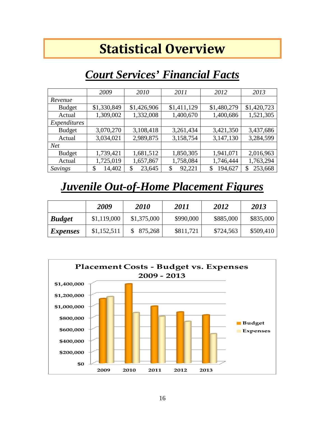### **Statistical Overview**

#### <span id="page-17-0"></span>*Court Services' Financial Facts*

<span id="page-17-1"></span>

|               | 2009         | 2010         | 2011         | 2012          | 2013          |
|---------------|--------------|--------------|--------------|---------------|---------------|
| Revenue       |              |              |              |               |               |
| <b>Budget</b> | \$1,330,849  | \$1,426,906  | \$1,411,129  | \$1,480,279   | \$1,420,723   |
| Actual        | 1,309,002    | 1,332,008    | 1,400,670    | 1,400,686     | 1,521,305     |
| Expenditures  |              |              |              |               |               |
| <b>Budget</b> | 3,070,270    | 3,108,418    | 3,261,434    | 3,421,350     | 3,437,686     |
| Actual        | 3,034,021    | 2,989,875    | 3,158,754    | 3,147,130     | 3,284,599     |
| <b>Net</b>    |              |              |              |               |               |
| <b>Budget</b> | 1,739,421    | 1,681,512    | 1,850,305    | 1,941,071     | 2,016,963     |
| Actual        | 1,725,019    | 1,657,867    | 1,758,084    | 1,746,444     | 1,763,294     |
| Savings       | 14,402<br>\$ | 23,645<br>\$ | 92,221<br>\$ | 194,627<br>\$ | 253,668<br>\$ |

#### <span id="page-17-2"></span>*Juvenile Out-of-Home Placement Figures*

|                 | 2009        | <b>2010</b> | 2011      | 2012      | 2013      |
|-----------------|-------------|-------------|-----------|-----------|-----------|
| <b>Budget</b>   | \$1,119,000 | \$1,375,000 | \$990,000 | \$885,000 | \$835,000 |
| <i>Expenses</i> | \$1,152,511 | \$875,268   | \$811,721 | \$724,563 | \$509,410 |

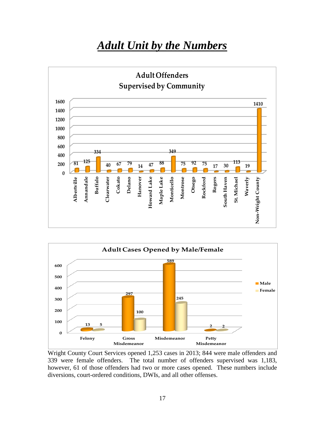#### *Adult Unit by the Numbers*

<span id="page-18-0"></span>



Wright County Court Services opened 1,253 cases in 2013; 844 were male offenders and 339 were female offenders. The total number of offenders supervised was 1,183, however, 61 of those offenders had two or more cases opened. These numbers include diversions, court-ordered conditions, DWIs, and all other offenses.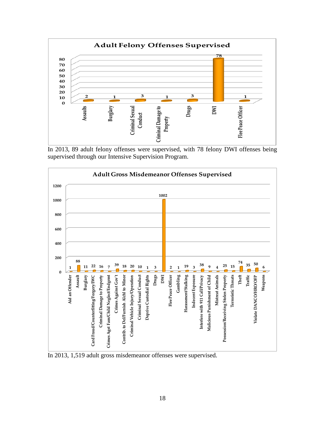

In 2013, 89 adult felony offenses were supervised, with 78 felony DWI offenses being supervised through our Intensive Supervision Program.



In 2013, 1,519 adult gross misdemeanor offenses were supervised.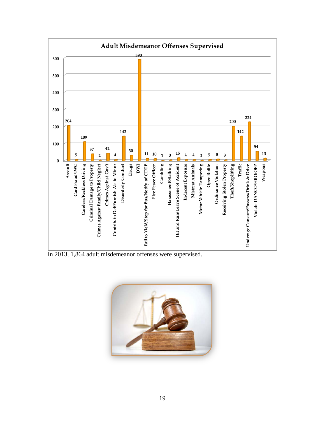

In 2013, 1,864 adult misdemeanor offenses were supervised.

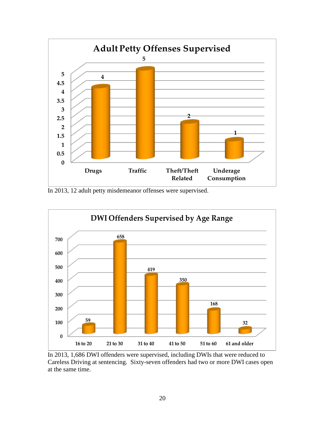

In 2013, 12 adult petty misdemeanor offenses were supervised.



In 2013, 1,686 DWI offenders were supervised, including DWIs that were reduced to Careless Driving at sentencing. Sixty-seven offenders had two or more DWI cases open at the same time.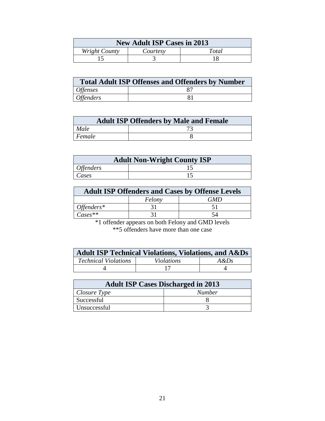| <b>New Adult ISP Cases in 2013</b> |          |       |  |
|------------------------------------|----------|-------|--|
| Wright County                      | Courtesy | Total |  |
|                                    |          |       |  |

| <b>Total Adult ISP Offenses and Offenders by Number</b> |  |  |
|---------------------------------------------------------|--|--|
| <i><b>Offenses</b></i>                                  |  |  |
| <i>Offenders</i>                                        |  |  |

| <b>Adult ISP Offenders by Male and Female</b> |  |  |
|-----------------------------------------------|--|--|
| Male                                          |  |  |
| Female                                        |  |  |

| <b>Adult Non-Wright County ISP</b> |  |  |
|------------------------------------|--|--|
| <i><b>Offenders</b></i>            |  |  |
| Cases                              |  |  |

| <b>Adult ISP Offenders and Cases by Offense Levels</b> |        |     |  |
|--------------------------------------------------------|--------|-----|--|
|                                                        | Felony | GMD |  |
| $Offenders*$                                           |        |     |  |
| $\mathit{Case}$ s**                                    |        |     |  |

\*1 offender appears on both Felony and GMD levels \*\*5 offenders have more than one case

| <b>Adult ISP Technical Violations, Violations, and A&amp;Ds</b> |                   |         |  |  |  |  |  |
|-----------------------------------------------------------------|-------------------|---------|--|--|--|--|--|
| <b>Technical Violations</b>                                     | <i>Violations</i> | $A\&Ds$ |  |  |  |  |  |
|                                                                 |                   |         |  |  |  |  |  |

| <b>Adult ISP Cases Discharged in 2013</b> |               |  |  |  |
|-------------------------------------------|---------------|--|--|--|
| Closure Type                              | <b>Number</b> |  |  |  |
| Successful                                |               |  |  |  |
| Unsuccessful                              |               |  |  |  |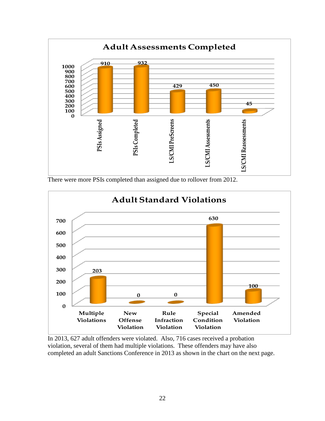

There were more PSIs completed than assigned due to rollover from 2012.



In 2013, 627 adult offenders were violated. Also, 716 cases received a probation violation, several of them had multiple violations. These offenders may have also completed an adult Sanctions Conference in 2013 as shown in the chart on the next page.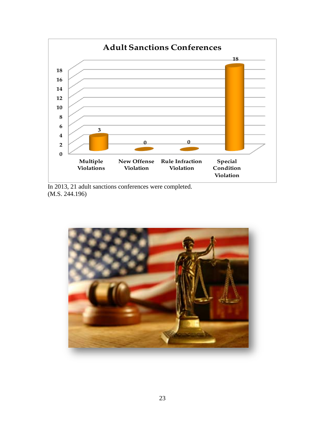

In 2013, 21 adult sanctions conferences were completed. (M.S. 244.196)

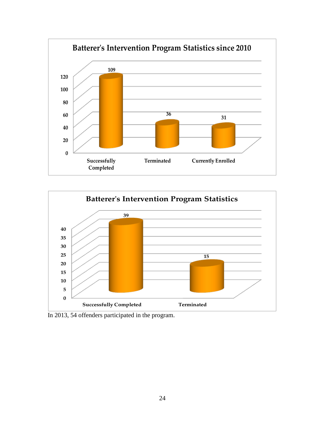



In 2013, 54 offenders participated in the program.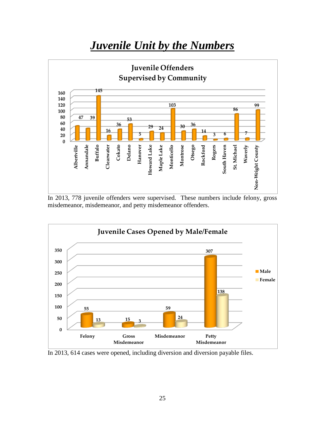#### *Juvenile Unit by the Numbers*

<span id="page-26-0"></span>

In 2013, 778 juvenile offenders were supervised. These numbers include felony, gross misdemeanor, misdemeanor, and petty misdemeanor offenders.



In 2013, 614 cases were opened, including diversion and diversion payable files.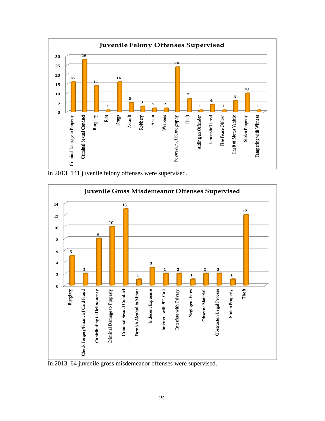

In 2013, 141 juvenile felony offenses were supervised.



In 2013, 64 juvenile gross misdemeanor offenses were supervised.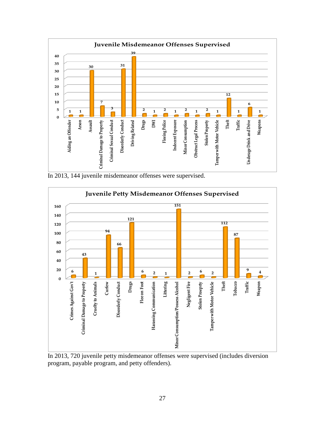

In 2013, 144 juvenile misdemeanor offenses were supervised.



In 2013, 720 juvenile petty misdemeanor offenses were supervised (includes diversion program, payable program, and petty offenders).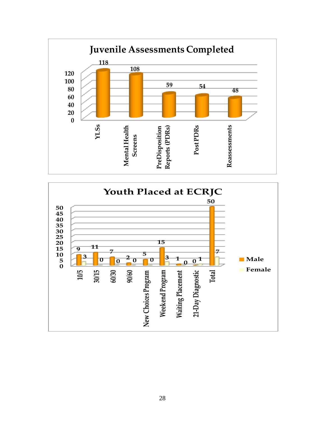

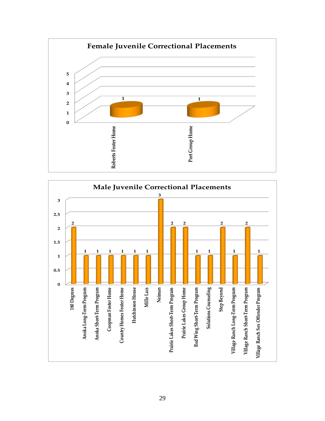

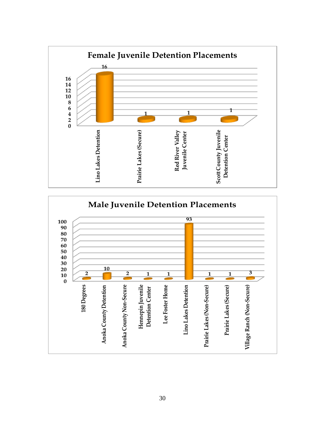

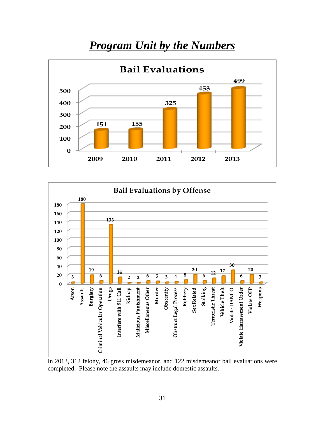#### *Program Unit by the Numbers*

<span id="page-32-0"></span>



In 2013, 312 felony, 46 gross misdemeanor, and 122 misdemeanor bail evaluations were completed. Please note the assaults may include domestic assaults.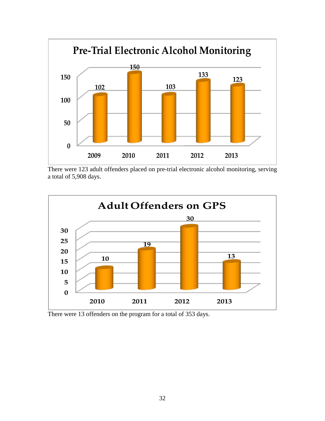

There were 123 adult offenders placed on pre-trial electronic alcohol monitoring, serving a total of 5,908 days.



There were 13 offenders on the program for a total of 353 days.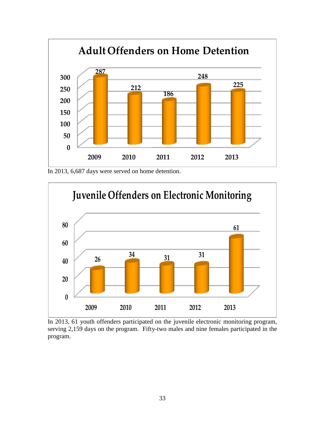

In 2013, 6,687 days were served on home detention.



In 2013, 61 youth offenders participated on the juvenile electronic monitoring program, serving 2,159 days on the program. Fifty-two males and nine females participated in the program.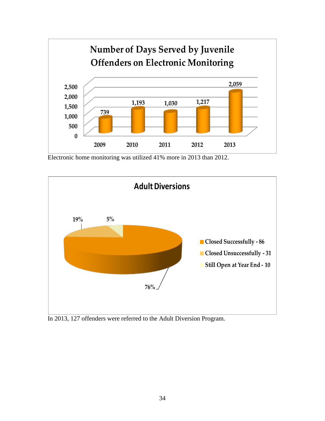

Electronic home monitoring was utilized 41% more in 2013 than 2012.



In 2013, 127 offenders were referred to the Adult Diversion Program.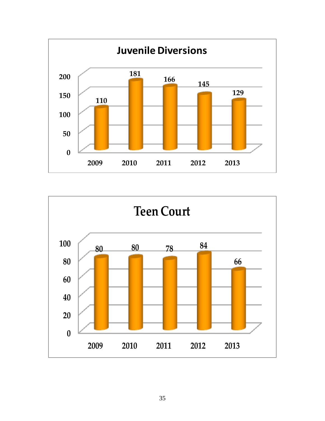

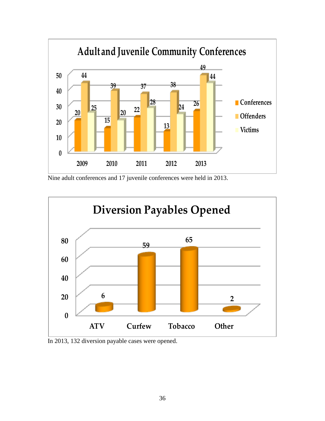

Nine adult conferences and 17 juvenile conferences were held in 2013.



In 2013, 132 diversion payable cases were opened.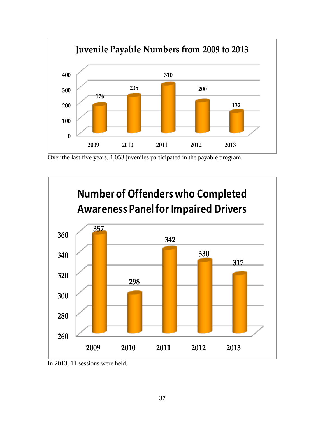

Over the last five years, 1,053 juveniles participated in the payable program.



In 2013, 11 sessions were held.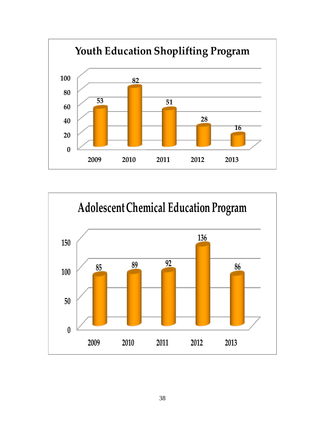